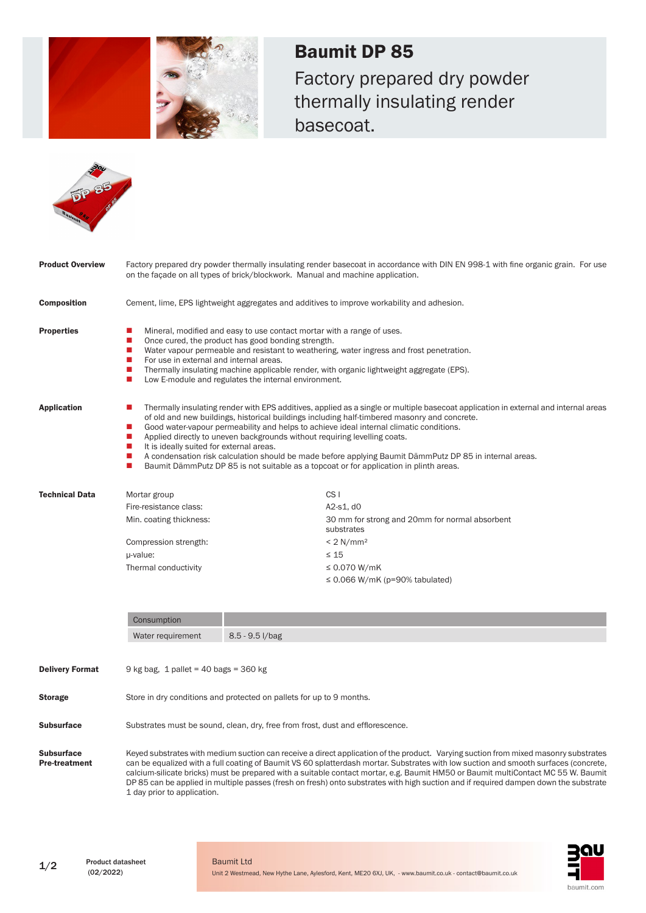

Baumit DP 85 Factory prepared dry powder thermally insulating render basecoat.



| <b>Product Overview</b> | Factory prepared dry powder thermally insulating render basecoat in accordance with DIN EN 998-1 with fine organic grain. For use<br>on the facade on all types of brick/blockwork. Manual and machine application.                                                                                                                                                                                                                                                                                                                                                                                                                                                                                                                                           |                                                              |  |
|-------------------------|---------------------------------------------------------------------------------------------------------------------------------------------------------------------------------------------------------------------------------------------------------------------------------------------------------------------------------------------------------------------------------------------------------------------------------------------------------------------------------------------------------------------------------------------------------------------------------------------------------------------------------------------------------------------------------------------------------------------------------------------------------------|--------------------------------------------------------------|--|
| <b>Composition</b>      | Cement, lime, EPS lightweight aggregates and additives to improve workability and adhesion.                                                                                                                                                                                                                                                                                                                                                                                                                                                                                                                                                                                                                                                                   |                                                              |  |
| <b>Properties</b>       | Mineral, modified and easy to use contact mortar with a range of uses.<br>ш<br>Once cured, the product has good bonding strength.<br>П<br>$\blacksquare$<br>Water vapour permeable and resistant to weathering, water ingress and frost penetration.<br>For use in external and internal areas.<br>Т.<br>$\blacksquare$<br>Thermally insulating machine applicable render, with organic lightweight aggregate (EPS).<br>П<br>Low E-module and regulates the internal environment.                                                                                                                                                                                                                                                                             |                                                              |  |
| <b>Application</b>      | Thermally insulating render with EPS additives, applied as a single or multiple basecoat application in external and internal areas<br>ш<br>of old and new buildings, historical buildings including half-timbered masonry and concrete.<br>Good water-vapour permeability and helps to achieve ideal internal climatic conditions.<br>$\mathcal{L}_{\mathcal{A}}$<br>П<br>Applied directly to uneven backgrounds without requiring levelling coats.<br>It is ideally suited for external areas.<br>$\mathcal{L}_{\mathcal{A}}$<br>A condensation risk calculation should be made before applying Baumit DämmPutz DP 85 in internal areas.<br><b>The State</b><br>Baumit DämmPutz DP 85 is not suitable as a topcoat or for application in plinth areas.<br>П |                                                              |  |
| <b>Technical Data</b>   | Mortar group                                                                                                                                                                                                                                                                                                                                                                                                                                                                                                                                                                                                                                                                                                                                                  | CS <sub>1</sub>                                              |  |
|                         | Fire-resistance class:                                                                                                                                                                                                                                                                                                                                                                                                                                                                                                                                                                                                                                                                                                                                        | A2-s1, d0                                                    |  |
|                         | Min. coating thickness:                                                                                                                                                                                                                                                                                                                                                                                                                                                                                                                                                                                                                                                                                                                                       | 30 mm for strong and 20mm for normal absorbent<br>substrates |  |
|                         | Compression strength:                                                                                                                                                                                                                                                                                                                                                                                                                                                                                                                                                                                                                                                                                                                                         | $< 2$ N/mm <sup>2</sup>                                      |  |
|                         | µ-value:                                                                                                                                                                                                                                                                                                                                                                                                                                                                                                                                                                                                                                                                                                                                                      | $\leq 15$                                                    |  |
|                         | Thermal conductivity                                                                                                                                                                                                                                                                                                                                                                                                                                                                                                                                                                                                                                                                                                                                          | $\leq 0.070$ W/mK                                            |  |
|                         |                                                                                                                                                                                                                                                                                                                                                                                                                                                                                                                                                                                                                                                                                                                                                               | $\leq$ 0.066 W/mK (p=90% tabulated)                          |  |
|                         | Consumption                                                                                                                                                                                                                                                                                                                                                                                                                                                                                                                                                                                                                                                                                                                                                   |                                                              |  |
|                         | Water requirement                                                                                                                                                                                                                                                                                                                                                                                                                                                                                                                                                                                                                                                                                                                                             | 8.5 - 9.5 l/bag                                              |  |
| <b>Delivery Format</b>  | 9 kg bag, 1 pallet = 40 bags = 360 kg                                                                                                                                                                                                                                                                                                                                                                                                                                                                                                                                                                                                                                                                                                                         |                                                              |  |
| <b>Storage</b>          | Store in dry conditions and protected on pallets for up to 9 months.                                                                                                                                                                                                                                                                                                                                                                                                                                                                                                                                                                                                                                                                                          |                                                              |  |
| <b>Subsurface</b>       | Substrates must be sound, clean, dry, free from frost, dust and efflorescence.                                                                                                                                                                                                                                                                                                                                                                                                                                                                                                                                                                                                                                                                                |                                                              |  |

**Subsurface** Pre-treatment Keyed substrates with medium suction can receive a direct application of the product. Varying suction from mixed masonry substrates can be equalized with a full coating of Baumit VS 60 splatterdash mortar. Substrates with low suction and smooth surfaces (concrete, calcium-silicate bricks) must be prepared with a suitable contact mortar, e.g. Baumit HM50 or Baumit multiContact MC 55 W. Baumit DP 85 can be applied in multiple passes (fresh on fresh) onto substrates with high suction and if required dampen down the substrate 1 day prior to application.